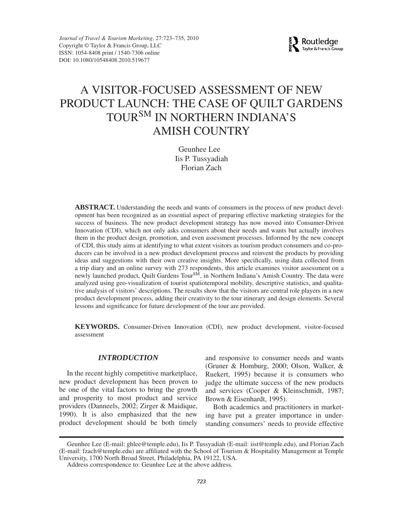

# A VISITOR-FOCUSED ASSESSMENT OF NEW PRODUCT LAUNCH: THE CASE OF QUILT GARDENS TOURSM IN NORTHERN INDIANA'S AMISH COUNTRY

Geunhee Lee Iis P. Tussyadiah Florian Zach

**ABSTRACT.** Understanding the needs and wants of consumers in the process of new product development has been recognized as an essential aspect of preparing effective marketing strategies for the success of business. The new product development strategy has now moved into Consumer-Driven Innovation (CDI), which not only asks consumers about their needs and wants but actually involves them in the product design, promotion, and even assessment processes. Informed by the new concept of CDI, this study aims at identifying to what extent visitors as tourism product consumers and co-producers can be involved in a new product development process and reinvent the products by providing ideas and suggestions with their own creative insights. More specifically, using data collected from a trip diary and an online survey with 273 respondents, this article examines visitor assessment on a newly launched product, Quilt Gardens Tour<sup>SM</sup>, in Northern Indiana's Amish Country. The data were analyzed using geo-visualization of tourist spatiotemporal mobility, descriptive statistics, and qualitative analysis of visitors' descriptions. The results show that the visitors are central role players in a new product development process, adding their creativity to the tour itinerary and design elements. Several lessons and significance for future development of the tour are provided.

**KEYWORDS.** Consumer-Driven Innovation (CDI), new product development, visitor-focused assessment

### *INTRODUCTION*

In the recent highly competitive marketplace, new product development has been proven to be one of the vital factors to bring the growth and prosperity to most product and service providers (Danneels, 2002; Zirger & Maidique, 1990). It is also emphasized that the new product development should be both timely

and responsive to consumer needs and wants (Gruner & Homburg, 2000; Olson, Walker, & Ruekert, 1995) because it is consumers who judge the ultimate success of the new products and services (Cooper & Kleinschmidt, 1987; Brown & Eisenhardt, 1995).

Both academics and practitioners in marketing have put a greater importance in understanding consumers' needs to provide effective

Geunhee Lee (E-mail: ghlee@temple.edu), Iis P. Tussyadiah (E-mail: iist@temple.edu), and Florian Zach (E-mail: fzach@temple.edu) are affiliated with the School of Tourism & Hospitality Management at Temple University, 1700 North Broad Street, Philadelphia, PA 19122, USA.

Address correspondence to: Geunhee Lee at the above address.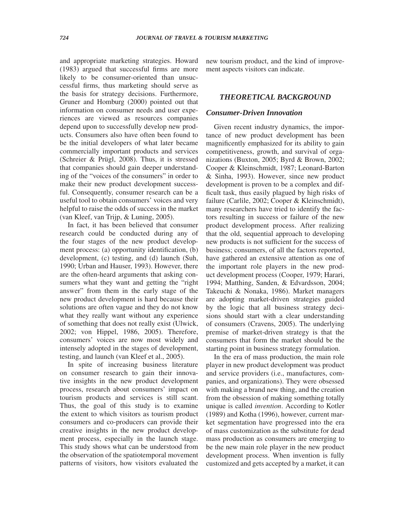and appropriate marketing strategies. Howard (1983) argued that successful firms are more likely to be consumer-oriented than unsuccessful firms, thus marketing should serve as the basis for strategy decisions. Furthermore, Gruner and Homburg (2000) pointed out that information on consumer needs and user experiences are viewed as resources companies depend upon to successfully develop new products. Consumers also have often been found to be the initial developers of what later became commercially important products and services (Schreier & Prügl, 2008). Thus, it is stressed that companies should gain deeper understanding of the "voices of the consumers" in order to make their new product development successful. Consequently, consumer research can be a useful tool to obtain consumers' voices and very helpful to raise the odds of success in the market (van Kleef, van Trijp, & Luning, 2005).

In fact, it has been believed that consumer research could be conducted during any of the four stages of the new product development process: (a) opportunity identification, (b) development, (c) testing, and (d) launch (Suh, 1990; Urban and Hauser, 1993). However, there are the often-heard arguments that asking consumers what they want and getting the "right" answer" from them in the early stage of the new product development is hard because their solutions are often vague and they do not know what they really want without any experience of something that does not really exist (Ulwick, 2002; von Hippel, 1986, 2005). Therefore, consumers' voices are now most widely and intensely adopted in the stages of development, testing, and launch (van Kleef et al., 2005).

In spite of increasing business literature on consumer research to gain their innovative insights in the new product development process, research about consumers' impact on tourism products and services is still scant. Thus, the goal of this study is to examine the extent to which visitors as tourism product consumers and co-producers can provide their creative insights in the new product development process, especially in the launch stage. This study shows what can be understood from the observation of the spatiotemporal movement patterns of visitors, how visitors evaluated the

new tourism product, and the kind of improvement aspects visitors can indicate.

# *THEORETICAL BACKGROUND*

### *Consumer-Driven Innovation*

Given recent industry dynamics, the importance of new product development has been magnificently emphasized for its ability to gain competitiveness, growth, and survival of organizations (Buxton, 2005; Byrd & Brown, 2002; Cooper & Kleinschmidt, 1987; Leonard-Barton & Sinha, 1993). However, since new product development is proven to be a complex and difficult task, thus easily plagued by high risks of failure (Carlile, 2002; Cooper & Kleinschmidt), many researchers have tried to identify the factors resulting in success or failure of the new product development process. After realizing that the old, sequential approach to developing new products is not sufficient for the success of business; consumers, of all the factors reported, have gathered an extensive attention as one of the important role players in the new product development process (Cooper, 1979; Harari, 1994; Matthing, Sanden, & Edvardsson, 2004; Takeuchi & Nonaka, 1986). Market managers are adopting market-driven strategies guided by the logic that all business strategy decisions should start with a clear understanding of consumers (Cravens, 2005). The underlying premise of market-driven strategy is that the consumers that form the market should be the starting point in business strategy formulation.

In the era of mass production, the main role player in new product development was product and service providers (i.e., manufactures, companies, and organizations). They were obsessed with making a brand new thing, and the creation from the obsession of making something totally unique is called *invention*. According to Kotler (1989) and Kotha (1996), however, current market segmentation have progressed into the era of mass customization as the substitute for dead mass production as consumers are emerging to be the new main role player in the new product development process. When invention is fully customized and gets accepted by a market, it can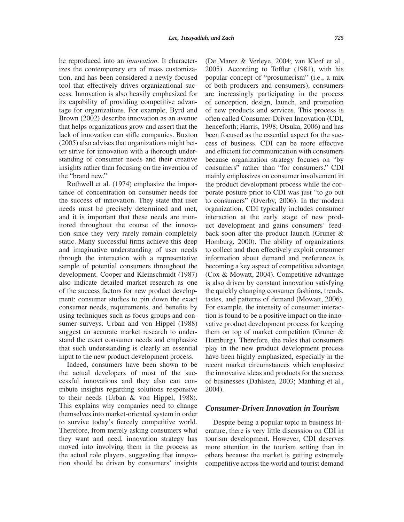be reproduced into an *innovation.* It characterizes the contemporary era of mass customization, and has been considered a newly focused tool that effectively drives organizational success. Innovation is also heavily emphasized for its capability of providing competitive advantage for organizations. For example, Byrd and Brown (2002) describe innovation as an avenue that helps organizations grow and assert that the lack of innovation can stifle companies. Buxton (2005) also advises that organizations might better strive for innovation with a thorough understanding of consumer needs and their creative insights rather than focusing on the invention of the "brand new."

Rothwell et al. (1974) emphasize the importance of concentration on consumer needs for the success of innovation. They state that user needs must be precisely determined and met, and it is important that these needs are monitored throughout the course of the innovation since they very rarely remain completely static. Many successful firms achieve this deep and imaginative understanding of user needs through the interaction with a representative sample of potential consumers throughout the development. Cooper and Kleinschmidt (1987) also indicate detailed market research as one of the success factors for new product development: consumer studies to pin down the exact consumer needs, requirements, and benefits by using techniques such as focus groups and consumer surveys. Urban and von Hippel (1988) suggest an accurate market research to understand the exact consumer needs and emphasize that such understanding is clearly an essential input to the new product development process.

Indeed, consumers have been shown to be the actual developers of most of the successful innovations and they also can contribute insights regarding solutions responsive to their needs (Urban & von Hippel, 1988). This explains why companies need to change themselves into market-oriented system in order to survive today's fiercely competitive world. Therefore, from merely asking consumers what they want and need, innovation strategy has moved into involving them in the process as the actual role players, suggesting that innovation should be driven by consumers' insights

(De Marez & Verleye, 2004; van Kleef et al., 2005). According to Toffler (1981), with his popular concept of "prosumerism" (i.e., a mix of both producers and consumers), consumers are increasingly participating in the process of conception, design, launch, and promotion of new products and services. This process is often called Consumer-Driven Innovation (CDI, henceforth; Harris, 1998; Otsuka, 2006) and has been focused as the essential aspect for the success of business. CDI can be more effective and efficient for communication with consumers because organization strategy focuses on "by consumers" rather than "for consumers." CDI mainly emphasizes on consumer involvement in the product development process while the corporate posture prior to CDI was just "to go out to consumers" (Overby, 2006). In the modern organization, CDI typically includes consumer interaction at the early stage of new product development and gains consumers' feedback soon after the product launch (Gruner & Homburg, 2000). The ability of organizations to collect and then effectively exploit consumer information about demand and preferences is becoming a key aspect of competitive advantage (Cox & Mowatt, 2004). Competitive advantage is also driven by constant innovation satisfying the quickly changing consumer fashions, trends, tastes, and patterns of demand (Mowatt, 2006). For example, the intensity of consumer interaction is found to be a positive impact on the innovative product development process for keeping them on top of market competition (Gruner & Homburg). Therefore, the roles that consumers play in the new product development process have been highly emphasized, especially in the recent market circumstances which emphasize the innovative ideas and products for the success of businesses (Dahlsten, 2003; Matthing et al., 2004).

#### *Consumer-Driven Innovation in Tourism*

Despite being a popular topic in business literature, there is very little discussion on CDI in tourism development. However, CDI deserves more attention in the tourism setting than in others because the market is getting extremely competitive across the world and tourist demand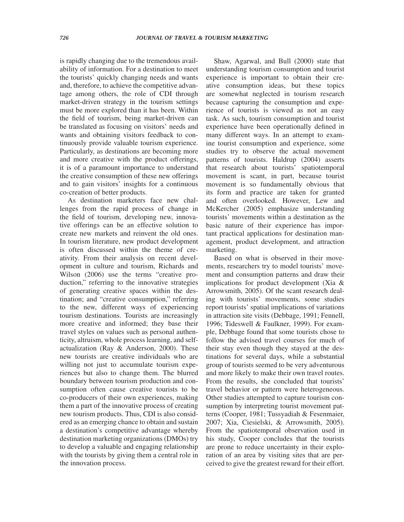is rapidly changing due to the tremendous availability of information. For a destination to meet the tourists' quickly changing needs and wants and, therefore, to achieve the competitive advantage among others, the role of CDI through market-driven strategy in the tourism settings must be more explored than it has been. Within the field of tourism, being market-driven can be translated as focusing on visitors' needs and wants and obtaining visitors feedback to continuously provide valuable tourism experience. Particularly, as destinations are becoming more and more creative with the product offerings, it is of a paramount importance to understand the creative consumption of these new offerings and to gain visitors' insights for a continuous co-creation of better products.

As destination marketers face new challenges from the rapid process of change in the field of tourism, developing new, innovative offerings can be an effective solution to create new markets and reinvent the old ones. In tourism literature, new product development is often discussed within the theme of creativity. From their analysis on recent development in culture and tourism, Richards and Wilson (2006) use the terms "creative production," referring to the innovative strategies of generating creative spaces within the destination; and "creative consumption," referring to the new, different ways of experiencing tourism destinations. Tourists are increasingly more creative and informed; they base their travel styles on values such as personal authenticity, altruism, whole process learning, and selfactualization (Ray & Anderson, 2000). These new tourists are creative individuals who are willing not just to accumulate tourism experiences but also to change them. The blurred boundary between tourism production and consumption often cause creative tourists to be co-producers of their own experiences, making them a part of the innovative process of creating new tourism products. Thus, CDI is also considered as an emerging chance to obtain and sustain a destination's competitive advantage whereby destination marketing organizations (DMOs) try to develop a valuable and engaging relationship with the tourists by giving them a central role in the innovation process.

Shaw, Agarwal, and Bull (2000) state that understanding tourism consumption and tourist experience is important to obtain their creative consumption ideas, but these topics are somewhat neglected in tourism research because capturing the consumption and experience of tourists is viewed as not an easy task. As such, tourism consumption and tourist experience have been operationally defined in many different ways. In an attempt to examine tourist consumption and experience, some studies try to observe the actual movement patterns of tourists. Haldrup (2004) asserts that research about tourists' spatiotemporal movement is scant, in part, because tourist movement is so fundamentally obvious that its form and practice are taken for granted and often overlooked. However, Lew and McKercher (2005) emphasize understanding tourists' movements within a destination as the basic nature of their experience has important practical applications for destination management, product development, and attraction marketing.

Based on what is observed in their movements, researchers try to model tourists' movement and consumption patterns and draw their implications for product development (Xia & Arrowsmith, 2005). Of the scant research dealing with tourists' movements, some studies report tourists' spatial implications of variations in attraction site visits (Debbage, 1991; Fennell, 1996; Tideswell & Faulkner, 1999). For example, Debbage found that some tourists chose to follow the advised travel courses for much of their stay even though they stayed at the destinations for several days, while a substantial group of tourists seemed to be very adventurous and more likely to make their own travel routes. From the results, she concluded that tourists' travel behavior or pattern were heterogeneous. Other studies attempted to capture tourism consumption by interpreting tourist movement patterns (Cooper, 1981; Tussyadiah & Fesenmaier, 2007; Xia, Ciesielski, & Arrowsmith, 2005). From the spatiotemporal observation used in his study, Cooper concludes that the tourists are prone to reduce uncertainty in their exploration of an area by visiting sites that are perceived to give the greatest reward for their effort.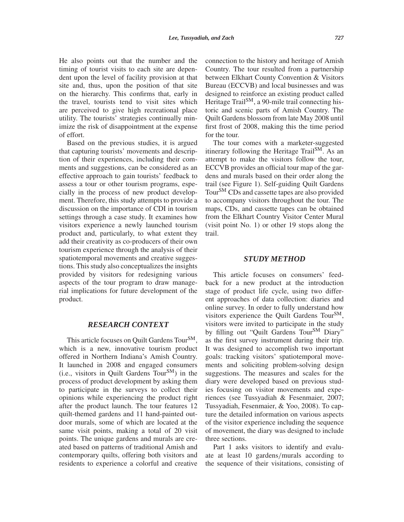He also points out that the number and the timing of tourist visits to each site are dependent upon the level of facility provision at that site and, thus, upon the position of that site on the hierarchy. This confirms that, early in the travel, tourists tend to visit sites which are perceived to give high recreational place utility. The tourists' strategies continually minimize the risk of disappointment at the expense of effort.

Based on the previous studies, it is argued that capturing tourists' movements and description of their experiences, including their comments and suggestions, can be considered as an effective approach to gain tourists' feedback to assess a tour or other tourism programs, especially in the process of new product development. Therefore, this study attempts to provide a discussion on the importance of CDI in tourism settings through a case study. It examines how visitors experience a newly launched tourism product and, particularly, to what extent they add their creativity as co-producers of their own tourism experience through the analysis of their spatiotemporal movements and creative suggestions. This study also conceptualizes the insights provided by visitors for redesigning various aspects of the tour program to draw managerial implications for future development of the product.

### *RESEARCH CONTEXT*

This article focuses on Quilt Gardens Tour<sup>SM</sup>, which is a new, innovative tourism product offered in Northern Indiana's Amish Country. It launched in 2008 and engaged consumers (i.e., visitors in Quilt Gardens Tour<sup>SM</sup>) in the process of product development by asking them to participate in the surveys to collect their opinions while experiencing the product right after the product launch. The tour features 12 quilt-themed gardens and 11 hand-painted outdoor murals, some of which are located at the same visit points, making a total of 20 visit points. The unique gardens and murals are created based on patterns of traditional Amish and contemporary quilts, offering both visitors and residents to experience a colorful and creative

connection to the history and heritage of Amish Country. The tour resulted from a partnership between Elkhart County Convention & Visitors Bureau (ECCVB) and local businesses and was designed to reinforce an existing product called Heritage Trail $^{SM}$ , a 90-mile trail connecting historic and scenic parts of Amish Country. The Quilt Gardens blossom from late May 2008 until first frost of 2008, making this the time period for the tour.

The tour comes with a marketer-suggested itinerary following the Heritage Trail<sup>SM</sup>. As an attempt to make the visitors follow the tour, ECCVB provides an official tour map of the gardens and murals based on their order along the trail (see Figure 1). Self-guiding Quilt Gardens Tour<sup>SM</sup> CDs and cassette tapes are also provided to accompany visitors throughout the tour. The maps, CDs, and cassette tapes can be obtained from the Elkhart Country Visitor Center Mural (visit point No. 1) or other 19 stops along the trail.

#### *STUDY METHOD*

This article focuses on consumers' feedback for a new product at the introduction stage of product life cycle, using two different approaches of data collection: diaries and online survey. In order to fully understand how visitors experience the Quilt Gardens Tour<sup>SM</sup>, visitors were invited to participate in the study by filling out "Quilt Gardens Tour<sup>SM</sup> Diary" as the first survey instrument during their trip. It was designed to accomplish two important goals: tracking visitors' spatiotemporal movements and soliciting problem-solving design suggestions. The measures and scales for the diary were developed based on previous studies focusing on visitor movements and experiences (see Tussyadiah & Fesenmaier, 2007; Tussyadiah, Fesenmaier, & Yoo, 2008). To capture the detailed information on various aspects of the visitor experience including the sequence of movement, the diary was designed to include three sections.

Part 1 asks visitors to identify and evaluate at least 10 gardens*/*murals according to the sequence of their visitations, consisting of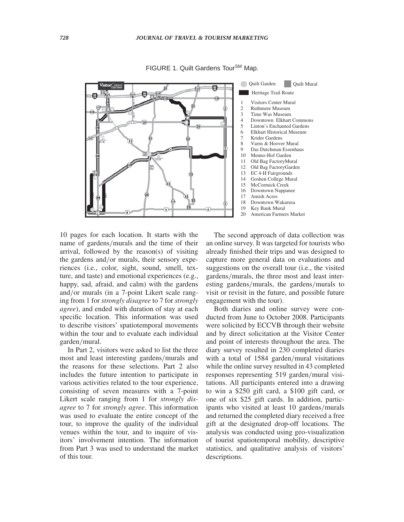

FIGURE 1. Quilt Gardens Tour<sup>SM</sup> Map.

10 pages for each location. It starts with the name of gardens*/*murals and the time of their arrival, followed by the reason(s) of visiting the gardens and*/*or murals, their sensory experiences (i.e., color, sight, sound, smell, texture, and taste) and emotional experiences (e.g., happy, sad, afraid, and calm) with the gardens and*/*or murals (in a 7-point Likert scale ranging from 1 for *strongly disagree* to 7 for *strongly agree*), and ended with duration of stay at each specific location. This information was used to describe visitors' spatiotemporal movements within the tour and to evaluate each individual garden*/*mural.

In Part 2, visitors were asked to list the three most and least interesting gardens*/*murals and the reasons for these selections. Part 2 also includes the future intention to participate in various activities related to the tour experience, consisting of seven measures with a 7-point Likert scale ranging from 1 for *strongly disagree* to 7 for *strongly agree*. This information was used to evaluate the entire concept of the tour, to improve the quality of the individual venues within the tour, and to inquire of visitors' involvement intention. The information from Part 3 was used to understand the market of this tour.

The second approach of data collection was an online survey. It was targeted for tourists who already finished their trips and was designed to capture more general data on evaluations and suggestions on the overall tour (i.e., the visited gardens*/*murals, the three most and least interesting gardens*/*murals, the gardens*/*murals to visit or revisit in the future, and possible future engagement with the tour).

Both diaries and online survey were conducted from June to October 2008. Participants were solicited by ECCVB through their website and by direct solicitation at the Visitor Center and point of interests throughout the area. The diary survey resulted in 230 completed diaries with a total of 1584 garden*/*mural visitations while the online survey resulted in 43 completed responses representing 519 garden*/*mural visitations. All participants entered into a drawing to win a \$250 gift card, a \$100 gift card, or one of six \$25 gift cards. In addition, participants who visited at least 10 gardens*/*murals and returned the completed diary received a free gift at the designated drop-off locations. The analysis was conducted using geo-visualization of tourist spatiotemporal mobility, descriptive statistics, and qualitative analysis of visitors' descriptions.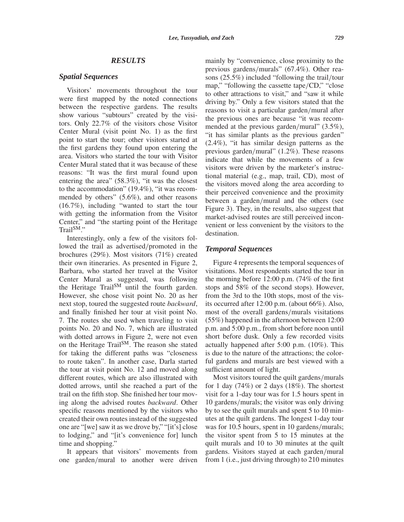# *RESULTS*

# *Spatial Sequences*

Visitors' movements throughout the tour were first mapped by the noted connections between the respective gardens. The results show various "subtours" created by the visitors. Only 22.7% of the visitors chose Visitor Center Mural (visit point No. 1) as the first point to start the tour; other visitors started at the first gardens they found upon entering the area. Visitors who started the tour with Visitor Center Mural stated that it was because of these reasons: "It was the first mural found upon entering the area" (58.3%), "it was the closest to the accommodation" (19.4%), "it was recommended by others" (5.6%), and other reasons (16.7%), including "wanted to start the tour with getting the information from the Visitor Center," and "the starting point of the Heritage Trail<sup>SM</sup>"

Interestingly, only a few of the visitors followed the trail as advertised*/*promoted in the brochures (29%). Most visitors (71%) created their own itineraries. As presented in Figure 2, Barbara, who started her travel at the Visitor Center Mural as suggested, was following the Heritage Trail<sup>SM</sup> until the fourth garden. However, she chose visit point No. 20 as her next stop, toured the suggested route *backward*, and finally finished her tour at visit point No. 7. The routes she used when traveling to visit points No. 20 and No. 7, which are illustrated with dotted arrows in Figure 2, were not even on the Heritage Trail<sup>SM</sup>. The reason she stated for taking the different paths was "closeness to route taken". In another case, Darla started the tour at visit point No. 12 and moved along different routes, which are also illustrated with dotted arrows, until she reached a part of the trail on the fifth stop. She finished her tour moving along the advised routes *backward*. Other specific reasons mentioned by the visitors who created their own routes instead of the suggested one are "[we] saw it as we drove by," "[it's] close to lodging," and "[it's convenience for] lunch time and shopping."

It appears that visitors' movements from one garden*/*mural to another were driven

mainly by "convenience, close proximity to the previous gardens*/*murals" (67.4%). Other reasons (25.5%) included "following the trail*/*tour map," "following the cassette tape*/*CD," "close to other attractions to visit," and "saw it while driving by." Only a few visitors stated that the reasons to visit a particular garden*/*mural after the previous ones are because "it was recommended at the previous garden*/*mural" (3.5%), "it has similar plants as the previous garden" (2.4%), "it has similar design patterns as the previous garden*/*mural" (1.2%). These reasons indicate that while the movements of a few visitors were driven by the marketer's instructional material (e.g., map, trail, CD), most of the visitors moved along the area according to their perceived convenience and the proximity between a garden*/*mural and the others (see Figure 3). They, in the results, also suggest that market-advised routes are still perceived inconvenient or less convenient by the visitors to the destination.

# *Temporal Sequences*

Figure 4 represents the temporal sequences of visitations. Most respondents started the tour in the morning before 12:00 p.m. (74% of the first stops and 58% of the second stops). However, from the 3rd to the 10th stops, most of the visits occurred after 12:00 p.m. (about 66%). Also, most of the overall gardens*/*murals visitations (55%) happened in the afternoon between 12:00 p.m. and 5:00 p.m., from short before noon until short before dusk. Only a few recorded visits actually happened after 5:00 p.m. (10%). This is due to the nature of the attractions; the colorful gardens and murals are best viewed with a sufficient amount of light.

Most visitors toured the quilt gardens*/*murals for 1 day  $(74\%)$  or 2 days  $(18\%)$ . The shortest visit for a 1-day tour was for 1.5 hours spent in 10 gardens*/*murals; the visitor was only driving by to see the quilt murals and spent 5 to 10 minutes at the quilt gardens. The longest 1-day tour was for 10.5 hours, spent in 10 gardens*/*murals; the visitor spent from 5 to 15 minutes at the quilt murals and 10 to 30 minutes at the quilt gardens. Visitors stayed at each garden*/*mural from 1 (i.e., just driving through) to 210 minutes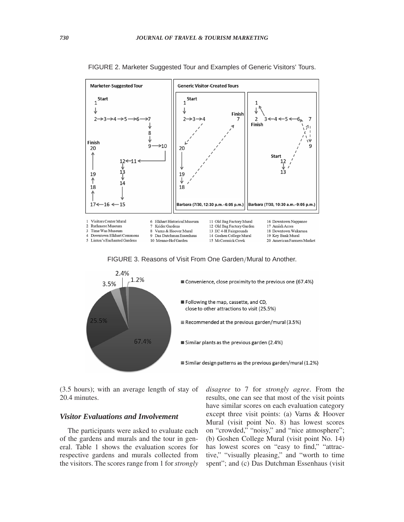

FIGURE 2. Marketer Suggested Tour and Examples of Generic Visitors' Tours.

FIGURE 3. Reasons of Visit From One Garden*/*Mural to Another.



(3.5 hours); with an average length of stay of 20.4 minutes.

# *Visitor Evaluations and Involvement*

The participants were asked to evaluate each of the gardens and murals and the tour in general. Table 1 shows the evaluation scores for respective gardens and murals collected from the visitors. The scores range from 1 for *strongly* *disagree* to 7 for *strongly agree*. From the results, one can see that most of the visit points have similar scores on each evaluation category except three visit points: (a) Varns & Hoover Mural (visit point No. 8) has lowest scores on "crowded," "noisy," and "nice atmosphere"; (b) Goshen College Mural (visit point No. 14) has lowest scores on "easy to find," "attractive," "visually pleasing," and "worth to time spent"; and (c) Das Dutchman Essenhaus (visit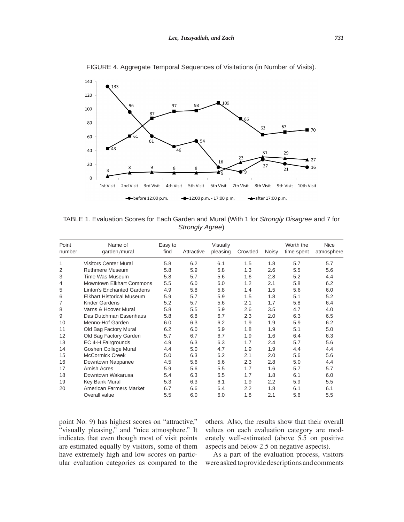

FIGURE 4. Aggregate Temporal Sequences of Visitations (in Number of Visits).

TABLE 1. Evaluation Scores for Each Garden and Mural (With 1 for *Strongly Disagree* and 7 for *Strongly Agree*)

| Point<br>number | Name of<br>garden/mural           | Easy to<br>find | Attractive | Visually<br>pleasing | Crowded | Noisy | Worth the<br>time spent | <b>Nice</b><br>atmosphere |
|-----------------|-----------------------------------|-----------------|------------|----------------------|---------|-------|-------------------------|---------------------------|
| 1               | <b>Visitors Center Mural</b>      | 5.8             | 6.2        | 6.1                  | 1.5     | 1.8   | 5.7                     | 5.7                       |
| $\overline{2}$  | <b>Ruthmere Museum</b>            | 5.8             | 5.9        | 5.8                  | 1.3     | 2.6   | 5.5                     | 5.6                       |
| 3               | Time Was Museum                   | 5.8             | 5.7        | 5.6                  | 1.6     | 2.8   | 5.2                     | 4.4                       |
| 4               | Mowntown Flkhart Commons          | 5.5             | 6.0        | 6.0                  | 1.2     | 2.1   | 5.8                     | 6.2                       |
| 5               | <b>Linton's Enchanted Gardens</b> | 4.9             | 5.8        | 5.8                  | 1.4     | 1.5   | 5.6                     | 6.0                       |
| 6               | <b>Elkhart Historical Museum</b>  | 5.9             | 5.7        | 5.9                  | 1.5     | 1.8   | 5.1                     | 5.2                       |
| $\overline{7}$  | Krider Gardens                    | 5.2             | 5.7        | 5.6                  | 2.1     | 1.7   | 5.8                     | 6.4                       |
| 8               | Varns & Hoover Mural              | 5.8             | 5.5        | 5.9                  | 2.6     | 3.5   | 4.7                     | 4.0                       |
| 9               | Das Dutchman Essenhaus            | 5.8             | 6.8        | 6.7                  | 2.3     | 2.0   | 6.3                     | 6.5                       |
| 10              | Menno-Hof Garden                  | 6.0             | 6.3        | 6.2                  | 1.9     | 1.9   | 5.9                     | 6.2                       |
| 11              | Old Bag Factory Mural             | 6.2             | 6.0        | 5.9                  | 1.8     | 1.9   | 5.1                     | 5.0                       |
| 12              | Old Bag Factory Garden            | 5.7             | 6.7        | 6.7                  | 1.9     | 1.6   | 6.4                     | 6.3                       |
| 13              | EC 4-H Fairgrounds                | 4.9             | 6.3        | 6.3                  | 1.7     | 2.4   | 5.7                     | 5.6                       |
| 14              | Goshen College Mural              | 4.4             | 5.0        | 4.7                  | 1.9     | 1.9   | 4.4                     | 4.4                       |
| 15              | <b>McCormick Creek</b>            | 5.0             | 6.3        | 6.2                  | 2.1     | 2.0   | 5.6                     | 5.6                       |
| 16              | Downtown Nappanee                 | 4.5             | 5.6        | 5.6                  | 2.3     | 2.8   | 5.0                     | 4.4                       |
| 17              | Amish Acres                       | 5.9             | 5.6        | 5.5                  | 1.7     | 1.6   | 5.7                     | 5.7                       |
| 18              | Downtown Wakarusa                 | 5.4             | 6.3        | 6.5                  | 1.7     | 1.8   | 6.1                     | 6.0                       |
| 19              | Key Bank Mural                    | 5.3             | 6.3        | 6.1                  | 1.9     | 2.2   | 5.9                     | 5.5                       |
| 20              | American Farmers Market           | 6.7             | 6.6        | 6.4                  | 2.2     | 1.8   | 6.1                     | 6.1                       |
|                 | Overall value                     | 5.5             | 6.0        | 6.0                  | 1.8     | 2.1   | 5.6                     | 5.5                       |

point No. 9) has highest scores on "attractive," "visually pleasing," and "nice atmosphere." It indicates that even though most of visit points are estimated equally by visitors, some of them have extremely high and low scores on particular evaluation categories as compared to the

others. Also, the results show that their overall values on each evaluation category are moderately well-estimated (above 5.5 on positive aspects and below 2.5 on negative aspects).

As a part of the evaluation process, visitors were askedto provide descriptions and comments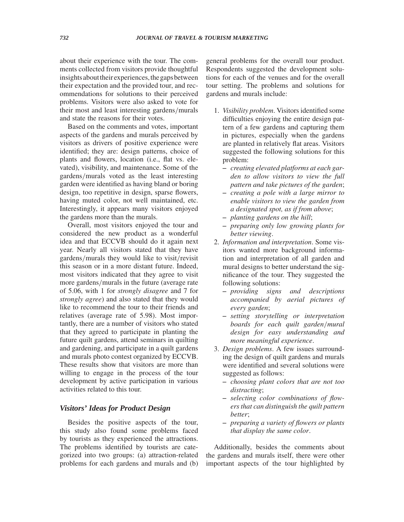about their experience with the tour. The comments collected from visitors provide thoughtful insights about their experiences, the gaps between their expectation and the provided tour, and recommendations for solutions to their perceived problems. Visitors were also asked to vote for their most and least interesting gardens*/*murals and state the reasons for their votes.

Based on the comments and votes, important aspects of the gardens and murals perceived by visitors as drivers of positive experience were identified; they are: design patterns, choice of plants and flowers, location (i.e., flat vs. elevated), visibility, and maintenance. Some of the gardens*/*murals voted as the least interesting garden were identified as having bland or boring design, too repetitive in design, sparse flowers, having muted color, not well maintained, etc. Interestingly, it appears many visitors enjoyed the gardens more than the murals.

Overall, most visitors enjoyed the tour and considered the new product as a wonderful idea and that ECCVB should do it again next year. Nearly all visitors stated that they have gardens*/*murals they would like to visit*/*revisit this season or in a more distant future. Indeed, most visitors indicated that they agree to visit more gardens*/*murals in the future (average rate of 5.06, with 1 for *strongly disagree* and 7 for *strongly agree*) and also stated that they would like to recommend the tour to their friends and relatives (average rate of 5.98). Most importantly, there are a number of visitors who stated that they agreed to participate in planting the future quilt gardens, attend seminars in quilting and gardening, and participate in a quilt gardens and murals photo contest organized by ECCVB. These results show that visitors are more than willing to engage in the process of the tour development by active participation in various activities related to this tour.

# *Visitors' Ideas for Product Design*

Besides the positive aspects of the tour, this study also found some problems faced by tourists as they experienced the attractions. The problems identified by tourists are categorized into two groups: (a) attraction-related problems for each gardens and murals and (b) general problems for the overall tour product. Respondents suggested the development solutions for each of the venues and for the overall tour setting. The problems and solutions for gardens and murals include:

- 1. *Visibility problem*. Visitors identified some difficulties enjoying the entire design pattern of a few gardens and capturing them in pictures, especially when the gardens are planted in relatively flat areas. Visitors suggested the following solutions for this problem:
	- **–** *creating elevated platforms at each garden to allow visitors to view the full pattern and take pictures of the garden*;
	- **–** *creating a pole with a large mirror to enable visitors to view the garden from a designated spot, as if from above*;
	- **–** *planting gardens on the hill*;
	- **–** *preparing only low growing plants for better viewing*.
- 2. *Information and interpretation*. Some visitors wanted more background information and interpretation of all garden and mural designs to better understand the significance of the tour. They suggested the following solutions:
	- **–** *providing signs and descriptions accompanied by aerial pictures of every garden*;
	- **–** *setting storytelling or interpretation boards for each quilt garden/mural design for easy understanding and more meaningful experience*.
- 3. *Design problems*. A few issues surrounding the design of quilt gardens and murals were identified and several solutions were suggested as follows:
	- **–** *choosing plant colors that are not too distracting*;
	- **–** *selecting color combinations of flowers that can distinguish the quilt pattern better*;
	- **–** *preparing a variety of flowers or plants that display the same color*.

Additionally, besides the comments about the gardens and murals itself, there were other important aspects of the tour highlighted by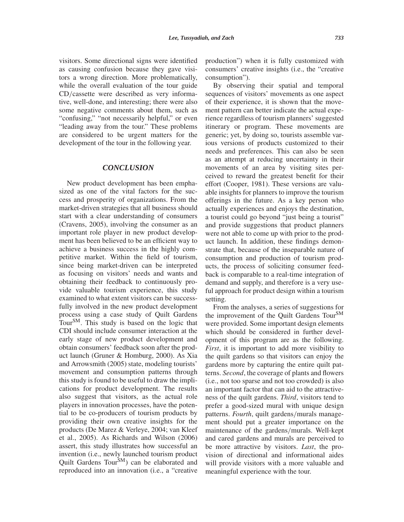visitors. Some directional signs were identified as causing confusion because they gave visitors a wrong direction. More problematically, while the overall evaluation of the tour guide CD*/*cassette were described as very informative, well-done, and interesting; there were also some negative comments about them, such as "confusing," "not necessarily helpful," or even "leading away from the tour." These problems are considered to be urgent matters for the development of the tour in the following year.

# *CONCLUSION*

New product development has been emphasized as one of the vital factors for the success and prosperity of organizations. From the market-driven strategies that all business should start with a clear understanding of consumers (Cravens, 2005), involving the consumer as an important role player in new product development has been believed to be an efficient way to achieve a business success in the highly competitive market. Within the field of tourism, since being market-driven can be interpreted as focusing on visitors' needs and wants and obtaining their feedback to continuously provide valuable tourism experience, this study examined to what extent visitors can be successfully involved in the new product development process using a case study of Quilt Gardens Tour<sup>SM</sup>. This study is based on the logic that CDI should include consumer interaction at the early stage of new product development and obtain consumers' feedback soon after the product launch (Gruner & Homburg, 2000). As Xia and Arrowsmith (2005) state, modeling tourists' movement and consumption patterns through this study is found to be useful to draw the implications for product development. The results also suggest that visitors, as the actual role players in innovation processes, have the potential to be co-producers of tourism products by providing their own creative insights for the products (De Marez & Verleye, 2004; van Kleef et al., 2005). As Richards and Wilson (2006) assert, this study illustrates how successful an invention (i.e., newly launched tourism product Quilt Gardens Tour<sup>SM</sup>) can be elaborated and reproduced into an innovation (i.e., a "creative

production") when it is fully customized with consumers' creative insights (i.e., the "creative consumption").

By observing their spatial and temporal sequences of visitors' movements as one aspect of their experience, it is shown that the movement pattern can better indicate the actual experience regardless of tourism planners' suggested itinerary or program. These movements are generic; yet, by doing so, tourists assemble various versions of products customized to their needs and preferences. This can also be seen as an attempt at reducing uncertainty in their movements of an area by visiting sites perceived to reward the greatest benefit for their effort (Cooper, 1981). These versions are valuable insights for planners to improve the tourism offerings in the future. As a key person who actually experiences and enjoys the destination, a tourist could go beyond "just being a tourist" and provide suggestions that product planners were not able to come up with prior to the product launch. In addition, these findings demonstrate that, because of the inseparable nature of consumption and production of tourism products, the process of soliciting consumer feedback is comparable to a real-time integration of demand and supply, and therefore is a very useful approach for product design within a tourism setting.

From the analyses, a series of suggestions for the improvement of the Quilt Gardens Tour<sup>SM</sup> were provided. Some important design elements which should be considered in further development of this program are as the following. *First*, it is important to add more visibility to the quilt gardens so that visitors can enjoy the gardens more by capturing the entire quilt patterns. *Second*, the coverage of plants and flowers (i.e., not too sparse and not too crowded) is also an important factor that can aid to the attractiveness of the quilt gardens. *Third*, visitors tend to prefer a good-sized mural with unique design patterns. *Fourth*, quilt gardens*/*murals management should put a greater importance on the maintenance of the gardens*/*murals. Well-kept and cared gardens and murals are perceived to be more attractive by visitors. *Last*, the provision of directional and informational aides will provide visitors with a more valuable and meaningful experience with the tour.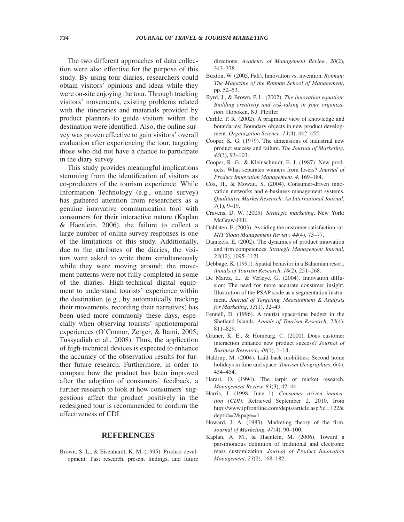The two different approaches of data collection were also effective for the purpose of this study. By using tour diaries, researchers could obtain visitors' opinions and ideas while they were on-site enjoying the tour. Through tracking visitors' movements, existing problems related with the itineraries and materials provided by product planners to guide visitors within the destination were identified. Also, the online survey was proven effective to gain visitors' overall evaluation after experiencing the tour, targeting those who did not have a chance to participate in the diary survey.

This study provides meaningful implications stemming from the identification of visitors as co-producers of the tourism experience. While Information Technology (e.g., online survey) has gathered attention from researchers as a genuine innovative communication tool with consumers for their interactive nature (Kaplan & Haenlein, 2006), the failure to collect a large number of online survey responses is one of the limitations of this study. Additionally, due to the attributes of the diaries, the visitors were asked to write them simultaneously while they were moving around; the movement patterns were not fully completed in some of the diaries. High-technical digital equipment to understand tourists' experience within the destination (e.g., by automatically tracking their movements, recording their narratives) has been used more commonly these days, especially when observing tourists' spatiotemporal experiences (O'Connor, Zerger, & Itami, 2005; Tussyadiah et al., 2008). Thus, the application of high-technical devices is expected to enhance the accuracy of the observation results for further future research. Furthermore, in order to compare how the product has been improved after the adoption of consumers' feedback, a further research to look at how consumers' suggestions affect the product positively in the redesigned tour is recommended to confirm the effectiveness of CDI.

# **REFERENCES**

Brown, S. L., & Eisenhardt, K. M. (1995). Product development: Past research, present findings, and future directions. *Academy of Management Review*, *20*(2), 343–378.

- Buxton, W. (2005, Fall). Innovation vs. invention. *Rotman: The Magazine of the Rotman School of Management*, pp. 52–53.
- Byrd, J., & Brown, P. L. (2002). *The innovation equation: Building creativity and risk-taking in your organization*. Hoboken, NJ: Pfeiffer.
- Carlile, P. R. (2002). A pragmatic view of knowledge and boundaries: Boundary objects in new product development. *Organization Science, 13*(4), 442–455.
- Cooper, K. G. (1979). The dimensions of industrial new product success and failure. *The Journal of Marketing, 43*(3), 93–103.
- Cooper, R. G., & Kleinschmidt, E. J. (1987). New products: What separates winners from losers? *Journal of Product Innovation Management*, *4*, 169–184.
- Cox, H., & Mowatt, S. (2004). Consumer-driven innovation networks and e-business management systems. *Qualitative Market Research: An International Journal*, *7*(1), 9–19.
- Cravens, D. W. (2005). *Strategic marketing*. New York: McGraw-Hill.
- Dahlsten, F. (2003). Avoiding the customer satisfaction rut. *MIT Sloan Management Review, 44*(4), 73–77.
- Danneels, E. (2002). The dynamics of product innovation and firm competences. *Strategic Management Journal*, *23*(12), 1095–1121.
- Debbage, K. (1991). Spatial behavior in a Bahamian resort. *Annals of Tourism Research*, *18*(2), 251–268.
- De Marez, L., & Verleye, G. (2004). Innovation diffusion: The need for more accurate consumer insight. Illustration of the PSAP scale as a segmentation instrument. *Journal of Targeting, Measurement & Analysis for Marketing*, *13*(1), 32–49.
- Fennell, D. (1996). A tourist space-time budget in the Shetland Islands. *Annals of Tourism Research*, *23*(4), 811–829.
- Gruner, K. E., & Homburg, C. (2000). Does customer interaction enhance new product success? *Journal of Business Research*, *49*(1), 1–14.
- Haldrup, M. (2004). Laid back mobilities: Second home holidays in time and space. *Tourism Geographies*, *6*(4), 434–454.
- Harari, O. (1994). The tarpit of market research. *Management Review, 83*(3), 42–44.
- Harris, J. (1998, June 1). *Consumer driven innovation (CDI)*. Retrieved September 2, 2010, from http://www.ipfrontline.com/depts/article.asp?id=122& deptid=2&page=1
- Howard, J. A. (1983). Marketing theory of the firm. *Journal of Marketing*, *47*(4), 90–100.
- Kaplan, A. M., & Haenlein, M. (2006). Toward a parsimonious definition of traditional and electronic mass customization. *Journal of Product Innovation Management*, *23*(2), 168–182.